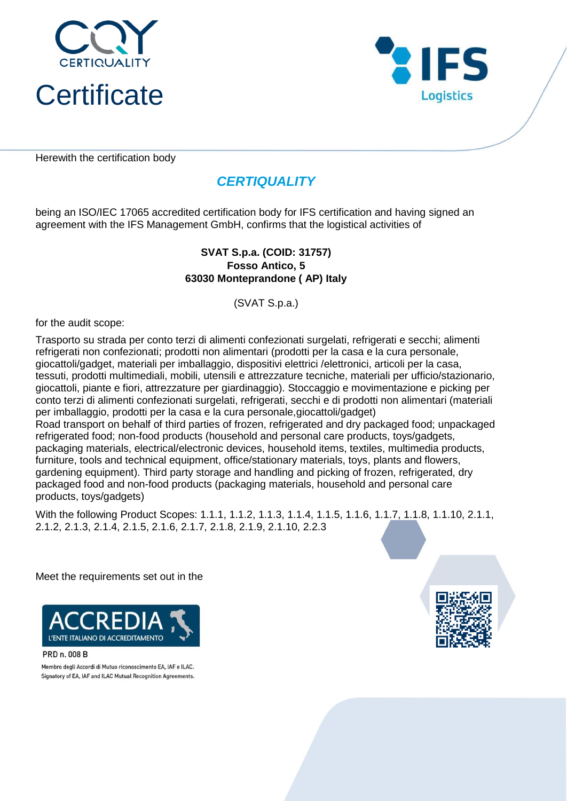



Herewith the certification body

# *CERTIQUALITY*

being an ISO/IEC 17065 accredited certification body for IFS certification and having signed an agreement with the IFS Management GmbH, confirms that the logistical activities of

#### **Fosso Antico, 5 63030 Monteprandone ( AP) Italy SVAT S.p.a. (COID: 31757)**

(SVAT S.p.a.)

for the audit scope:

Trasporto su strada per conto terzi di alimenti confezionati surgelati, refrigerati e secchi; alimenti refrigerati non confezionati; prodotti non alimentari (prodotti per la casa e la cura personale, giocattoli/gadget, materiali per imballaggio, dispositivi elettrici /elettronici, articoli per la casa, tessuti, prodotti multimediali, mobili, utensili e attrezzature tecniche, materiali per ufficio/stazionario, giocattoli, piante e fiori, attrezzature per giardinaggio). Stoccaggio e movimentazione e picking per conto terzi di alimenti confezionati surgelati, refrigerati, secchi e di prodotti non alimentari (materiali per imballaggio, prodotti per la casa e la cura personale,giocattoli/gadget) Road transport on behalf of third parties of frozen, refrigerated and dry packaged food; unpackaged refrigerated food; non-food products (household and personal care products, toys/gadgets, packaging materials, electrical/electronic devices, household items, textiles, multimedia products, furniture, tools and technical equipment, office/stationary materials, toys, plants and flowers, gardening equipment). Third party storage and handling and picking of frozen, refrigerated, dry packaged food and non-food products (packaging materials, household and personal care products, toys/gadgets)

With the following Product Scopes: 1.1.1, 1.1.2, 1.1.3, 1.1.4, 1.1.5, 1.1.6, 1.1.7, 1.1.8, 1.1.10, 2.1.1, 2.1.2, 2.1.3, 2.1.4, 2.1.5, 2.1.6, 2.1.7, 2.1.8, 2.1.9, 2.1.10, 2.2.3

Meet the requirements set out in the



PRD n. 008 B

Membro degli Accordi di Mutuo riconoscimento EA, IAF e ILAC. Signatory of EA, IAF and ILAC Mutual Recognition Agreements.